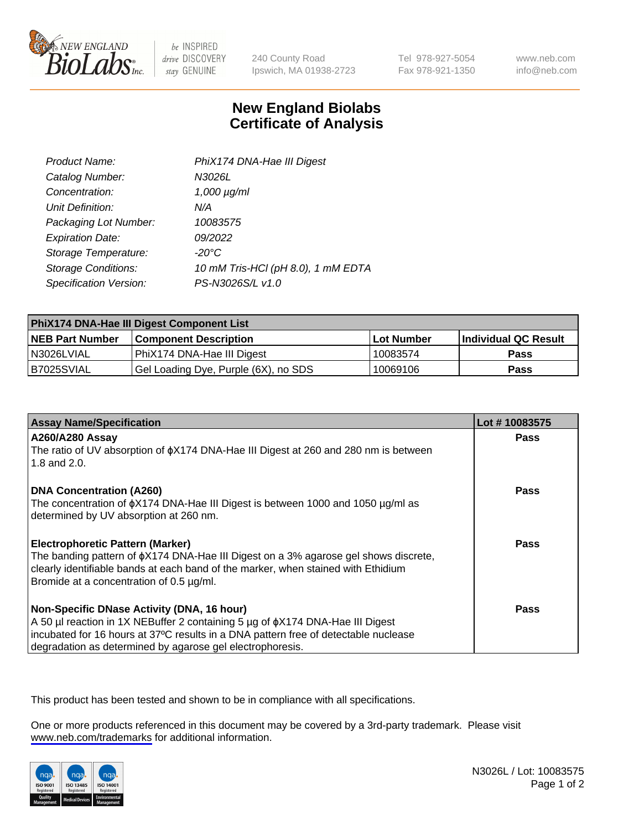

be INSPIRED drive DISCOVERY stay GENUINE

240 County Road Ipswich, MA 01938-2723 Tel 978-927-5054 Fax 978-921-1350

www.neb.com info@neb.com

## **New England Biolabs Certificate of Analysis**

| Product Name:              | PhiX174 DNA-Hae III Digest         |
|----------------------------|------------------------------------|
| Catalog Number:            | N3026L                             |
| Concentration:             | $1,000 \mu g/ml$                   |
| Unit Definition:           | N/A                                |
| Packaging Lot Number:      | 10083575                           |
| <b>Expiration Date:</b>    | 09/2022                            |
| Storage Temperature:       | -20°C                              |
| <b>Storage Conditions:</b> | 10 mM Tris-HCl (pH 8.0), 1 mM EDTA |
| Specification Version:     | PS-N3026S/L v1.0                   |

| PhiX174 DNA-Hae III Digest Component List |                                      |                   |                      |  |
|-------------------------------------------|--------------------------------------|-------------------|----------------------|--|
| <b>NEB Part Number</b>                    | <b>Component Description</b>         | <b>Lot Number</b> | Individual QC Result |  |
| I N3026LVIAL                              | PhiX174 DNA-Hae III Digest           | 10083574          | <b>Pass</b>          |  |
| B7025SVIAL                                | Gel Loading Dye, Purple (6X), no SDS | 10069106          | <b>Pass</b>          |  |

| <b>Assay Name/Specification</b>                                                                                                 | Lot #10083575 |
|---------------------------------------------------------------------------------------------------------------------------------|---------------|
| <b>A260/A280 Assay</b>                                                                                                          | <b>Pass</b>   |
| The ratio of UV absorption of $\phi$ X174 DNA-Hae III Digest at 260 and 280 nm is between<br>1.8 and 2.0.                       |               |
| <b>DNA Concentration (A260)</b>                                                                                                 | Pass          |
| The concentration of $\phi$ X174 DNA-Hae III Digest is between 1000 and 1050 µg/ml as<br>determined by UV absorption at 260 nm. |               |
| <b>Electrophoretic Pattern (Marker)</b>                                                                                         | Pass          |
| The banding pattern of $\phi$ X174 DNA-Hae III Digest on a 3% agarose gel shows discrete,                                       |               |
| clearly identifiable bands at each band of the marker, when stained with Ethidium<br>Bromide at a concentration of 0.5 µg/ml.   |               |
|                                                                                                                                 |               |
| Non-Specific DNase Activity (DNA, 16 hour)                                                                                      | Pass          |
| A 50 µl reaction in 1X NEBuffer 2 containing 5 µg of $\phi$ X174 DNA-Hae III Digest                                             |               |
| incubated for 16 hours at 37°C results in a DNA pattern free of detectable nuclease                                             |               |
| degradation as determined by agarose gel electrophoresis.                                                                       |               |

This product has been tested and shown to be in compliance with all specifications.

One or more products referenced in this document may be covered by a 3rd-party trademark. Please visit <www.neb.com/trademarks>for additional information.